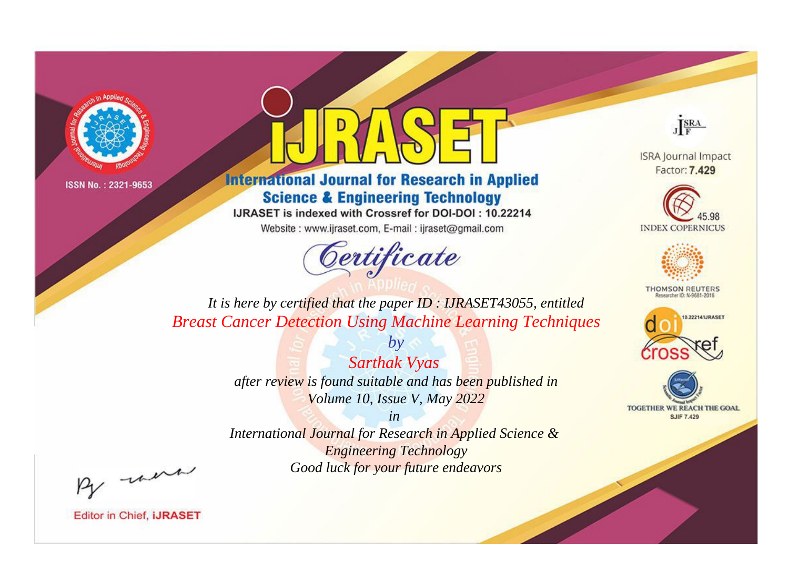



**International Journal for Research in Applied Science & Engineering Technology** 

IJRASET is indexed with Crossref for DOI-DOI: 10.22214

Website: www.ijraset.com, E-mail: ijraset@gmail.com



JERA

**ISRA Journal Impact** Factor: 7.429





**THOMSON REUTERS** 



TOGETHER WE REACH THE GOAL **SJIF 7.429** 

*It is here by certified that the paper ID : IJRASET43055, entitled Breast Cancer Detection Using Machine Learning Techniques*

> *Sarthak Vyas after review is found suitable and has been published in Volume 10, Issue V, May 2022*

*by*

*in* 

*International Journal for Research in Applied Science & Engineering Technology Good luck for your future endeavors*

By morn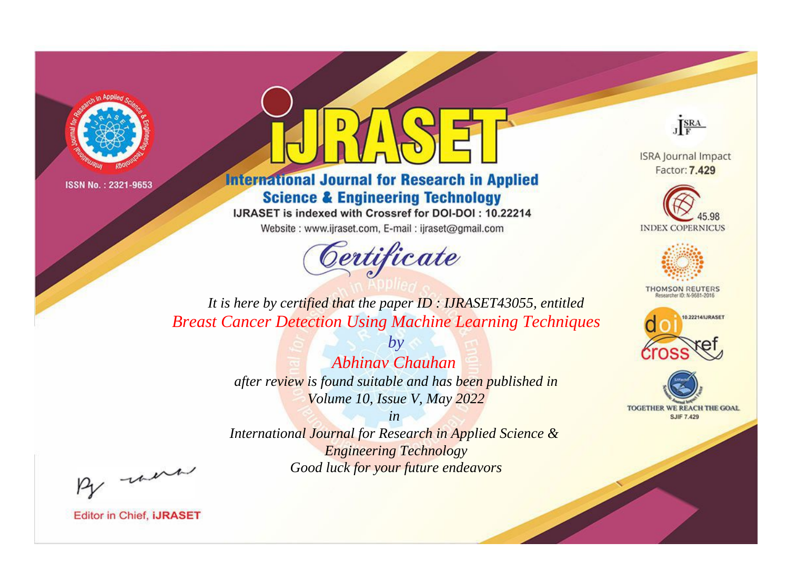



**International Journal for Research in Applied Science & Engineering Technology** 

IJRASET is indexed with Crossref for DOI-DOI: 10.22214

Website: www.ijraset.com, E-mail: ijraset@gmail.com



JERA

**ISRA Journal Impact** Factor: 7.429





**THOMSON REUTERS** 



TOGETHER WE REACH THE GOAL **SJIF 7.429** 

*It is here by certified that the paper ID : IJRASET43055, entitled Breast Cancer Detection Using Machine Learning Techniques*

> *Abhinav Chauhan after review is found suitable and has been published in Volume 10, Issue V, May 2022*

*by*

*in* 

*International Journal for Research in Applied Science & Engineering Technology Good luck for your future endeavors*

By morn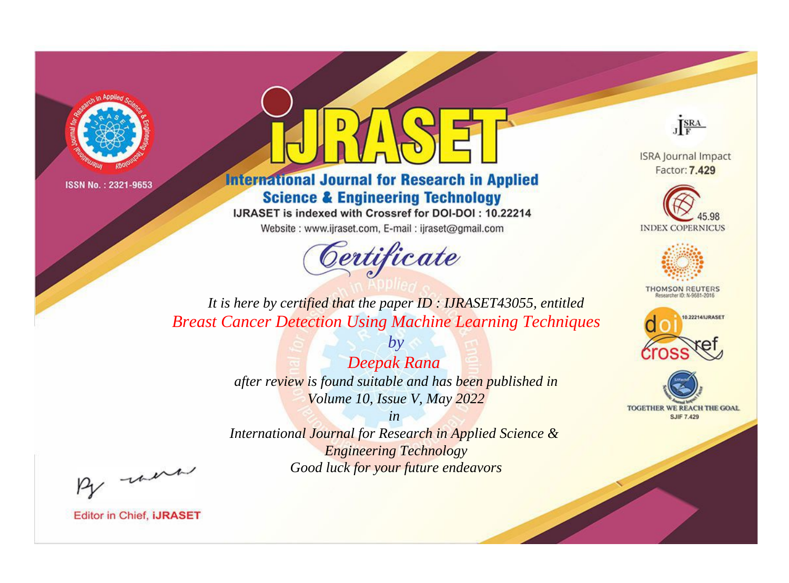



**International Journal for Research in Applied Science & Engineering Technology** 

IJRASET is indexed with Crossref for DOI-DOI: 10.22214

Website: www.ijraset.com, E-mail: ijraset@gmail.com



JERA

**ISRA Journal Impact** Factor: 7.429





**THOMSON REUTERS** 



TOGETHER WE REACH THE GOAL **SJIF 7.429** 

*It is here by certified that the paper ID : IJRASET43055, entitled Breast Cancer Detection Using Machine Learning Techniques*

> *Deepak Rana after review is found suitable and has been published in Volume 10, Issue V, May 2022*

*by*

*in* 

*International Journal for Research in Applied Science & Engineering Technology Good luck for your future endeavors*

By morn